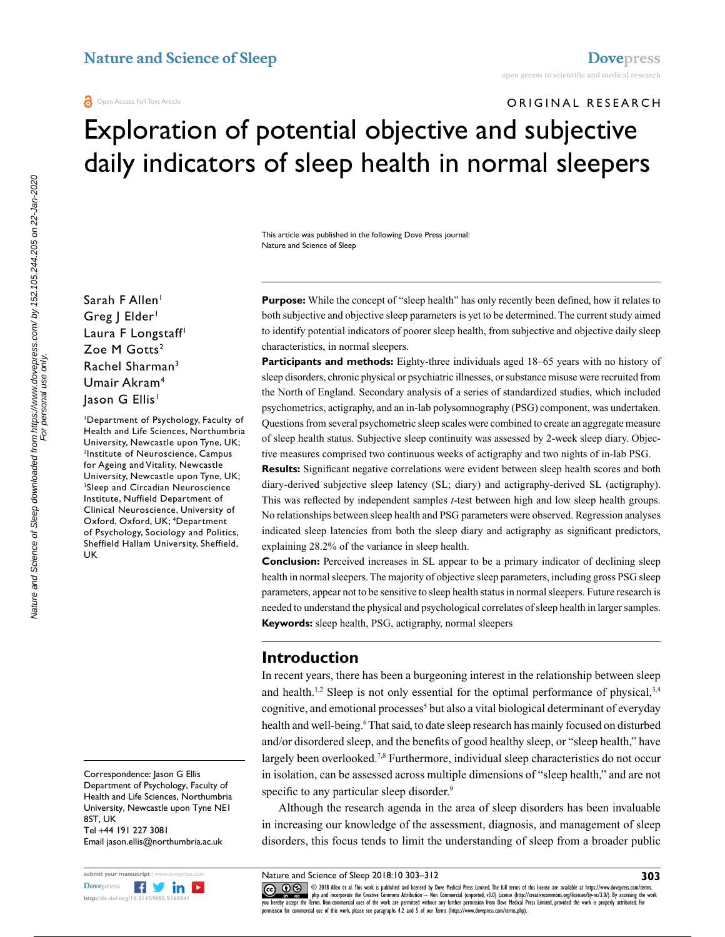# ORIGINAL RESEARCH Exploration of potential objective and subjective daily indicators of sleep health in normal sleepers

This article was published in the following Dove Press journal: Nature and Science of Sleep

Sarah F Allen<sup>1</sup> Greg | Elder<sup>1</sup> Laura F Longstaff<sup>1</sup> Zoe M Gotts<sup>2</sup> Rachel Sharman3 Umair Akram4 lason G Ellis<sup>1</sup>

1 Department of Psychology, Faculty of Health and Life Sciences, Northumbria University, Newcastle upon Tyne, UK; 2 Institute of Neuroscience, Campus for Ageing and Vitality, Newcastle University, Newcastle upon Tyne, UK; 3 Sleep and Circadian Neuroscience Institute, Nuffield Department of Clinical Neuroscience, University of Oxford, Oxford, UK; 4 Department of Psychology, Sociology and Politics, Sheffield Hallam University, Sheffield, UK

Tel +44 191 227 3081 Email [jason.ellis@northumbria.ac.uk](mailto:jason.ellis@northumbria.ac.uk)



**Purpose:** While the concept of "sleep health" has only recently been defined, how it relates to both subjective and objective sleep parameters is yet to be determined. The current study aimed to identify potential indicators of poorer sleep health, from subjective and objective daily sleep characteristics, in normal sleepers.

**Participants and methods:** Eighty-three individuals aged 18–65 years with no history of sleep disorders, chronic physical or psychiatric illnesses, or substance misuse were recruited from the North of England. Secondary analysis of a series of standardized studies, which included psychometrics, actigraphy, and an in-lab polysomnography (PSG) component, was undertaken. Questions from several psychometric sleep scales were combined to create an aggregate measure of sleep health status. Subjective sleep continuity was assessed by 2-week sleep diary. Objective measures comprised two continuous weeks of actigraphy and two nights of in-lab PSG.

**Results:** Significant negative correlations were evident between sleep health scores and both diary-derived subjective sleep latency (SL; diary) and actigraphy-derived SL (actigraphy). This was reflected by independent samples *t*-test between high and low sleep health groups. No relationships between sleep health and PSG parameters were observed. Regression analyses indicated sleep latencies from both the sleep diary and actigraphy as significant predictors, explaining 28.2% of the variance in sleep health.

**Conclusion:** Perceived increases in SL appear to be a primary indicator of declining sleep health in normal sleepers. The majority of objective sleep parameters, including gross PSG sleep parameters, appear not to be sensitive to sleep health status in normal sleepers. Future research is needed to understand the physical and psychological correlates of sleep health in larger samples. **Keywords:** sleep health, PSG, actigraphy, normal sleepers

## **Introduction**

In recent years, there has been a burgeoning interest in the relationship between sleep and health.<sup>1,2</sup> Sleep is not only essential for the optimal performance of physical, $3,4$ cognitive, and emotional processes<sup>5</sup> but also a vital biological determinant of everyday health and well-being.<sup>6</sup> That said, to date sleep research has mainly focused on disturbed and/or disordered sleep, and the benefits of good healthy sleep, or "sleep health," have largely been overlooked.7,8 Furthermore, individual sleep characteristics do not occur in isolation, can be assessed across multiple dimensions of "sleep health," and are not specific to any particular sleep disorder.<sup>9</sup>

Although the research agenda in the area of sleep disorders has been invaluable in increasing our knowledge of the assessment, diagnosis, and management of sleep disorders, this focus tends to limit the understanding of sleep from a broader public

Nature and Science of Sleep 2018:10 303–312

CO 18 Allen et al. This work is published and licensed by Dove Medical Press Limited. The full terms of this license are available at https://www.dovepress.com/terms.<br> [you hereby accept the T](http://www.dovepress.com/permissions.php)erms. Non-commercial uses of th permission for commercial use of this work, please see paragraphs 4.2 and 5 of our Terms (https://www.dovepress.com/terms.php).

Correspondence: Jason G Ellis Department of Psychology, Faculty of Health and Life Sciences, Northumbria University, Newcastle upon Tyne NE1 8ST, UK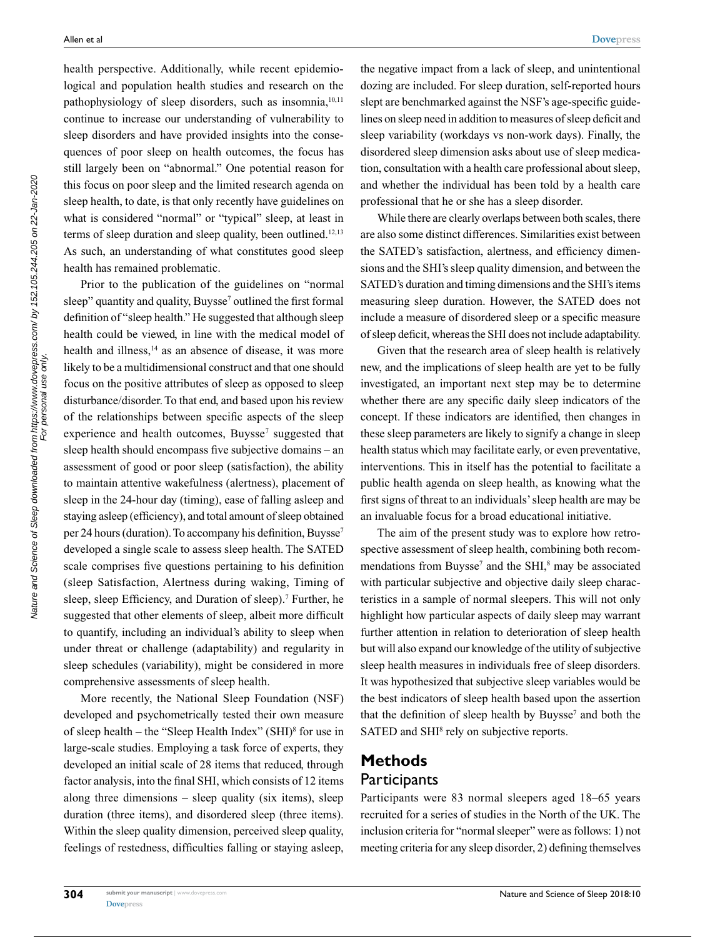health perspective. Additionally, while recent epidemiological and population health studies and research on the pathophysiology of sleep disorders, such as insomnia,<sup>10,11</sup> continue to increase our understanding of vulnerability to sleep disorders and have provided insights into the consequences of poor sleep on health outcomes, the focus has still largely been on "abnormal." One potential reason for this focus on poor sleep and the limited research agenda on sleep health, to date, is that only recently have guidelines on what is considered "normal" or "typical" sleep, at least in terms of sleep duration and sleep quality, been outlined.<sup>12,13</sup> As such, an understanding of what constitutes good sleep health has remained problematic.

Prior to the publication of the guidelines on "normal sleep" quantity and quality, Buysse<sup>7</sup> outlined the first formal definition of "sleep health." He suggested that although sleep health could be viewed, in line with the medical model of health and illness,<sup>14</sup> as an absence of disease, it was more likely to be a multidimensional construct and that one should focus on the positive attributes of sleep as opposed to sleep disturbance/disorder. To that end, and based upon his review of the relationships between specific aspects of the sleep experience and health outcomes, Buysse<sup>7</sup> suggested that sleep health should encompass five subjective domains – an assessment of good or poor sleep (satisfaction), the ability to maintain attentive wakefulness (alertness), placement of sleep in the 24-hour day (timing), ease of falling asleep and staying asleep (efficiency), and total amount of sleep obtained per 24 hours (duration). To accompany his definition, Buysse<sup>7</sup> developed a single scale to assess sleep health. The SATED scale comprises five questions pertaining to his definition (sleep Satisfaction, Alertness during waking, Timing of sleep, sleep Efficiency, and Duration of sleep).<sup>7</sup> Further, he suggested that other elements of sleep, albeit more difficult to quantify, including an individual's ability to sleep when under threat or challenge (adaptability) and regularity in sleep schedules (variability), might be considered in more comprehensive assessments of sleep health.

More recently, the National Sleep Foundation (NSF) developed and psychometrically tested their own measure of sleep health – the "Sleep Health Index" (SHI)<sup>8</sup> for use in large-scale studies. Employing a task force of experts, they developed an initial scale of 28 items that reduced, through factor analysis, into the final SHI, which consists of 12 items along three dimensions – sleep quality (six items), sleep duration (three items), and disordered sleep (three items). Within the sleep quality dimension, perceived sleep quality, feelings of restedness, difficulties falling or staying asleep,

the negative impact from a lack of sleep, and unintentional dozing are included. For sleep duration, self-reported hours slept are benchmarked against the NSF's age-specific guidelines on sleep need in addition to measures of sleep deficit and sleep variability (workdays vs non-work days). Finally, the disordered sleep dimension asks about use of sleep medication, consultation with a health care professional about sleep, and whether the individual has been told by a health care professional that he or she has a sleep disorder.

While there are clearly overlaps between both scales, there are also some distinct differences. Similarities exist between the SATED's satisfaction, alertness, and efficiency dimensions and the SHI's sleep quality dimension, and between the SATED's duration and timing dimensions and the SHI's items measuring sleep duration. However, the SATED does not include a measure of disordered sleep or a specific measure of sleep deficit, whereas the SHI does not include adaptability.

Given that the research area of sleep health is relatively new, and the implications of sleep health are yet to be fully investigated, an important next step may be to determine whether there are any specific daily sleep indicators of the concept. If these indicators are identified, then changes in these sleep parameters are likely to signify a change in sleep health status which may facilitate early, or even preventative, interventions. This in itself has the potential to facilitate a public health agenda on sleep health, as knowing what the first signs of threat to an individuals' sleep health are may be an invaluable focus for a broad educational initiative.

The aim of the present study was to explore how retrospective assessment of sleep health, combining both recommendations from Buysse<sup>7</sup> and the SHI,<sup>8</sup> may be associated with particular subjective and objective daily sleep characteristics in a sample of normal sleepers. This will not only highlight how particular aspects of daily sleep may warrant further attention in relation to deterioration of sleep health but will also expand our knowledge of the utility of subjective sleep health measures in individuals free of sleep disorders. It was hypothesized that subjective sleep variables would be the best indicators of sleep health based upon the assertion that the definition of sleep health by Buysse<sup>7</sup> and both the SATED and SHI<sup>8</sup> rely on subjective reports.

## **Methods Participants**

Participants were 83 normal sleepers aged 18–65 years recruited for a series of studies in the North of the UK. The inclusion criteria for "normal sleeper" were as follows: 1) not meeting criteria for any sleep disorder, 2) defining themselves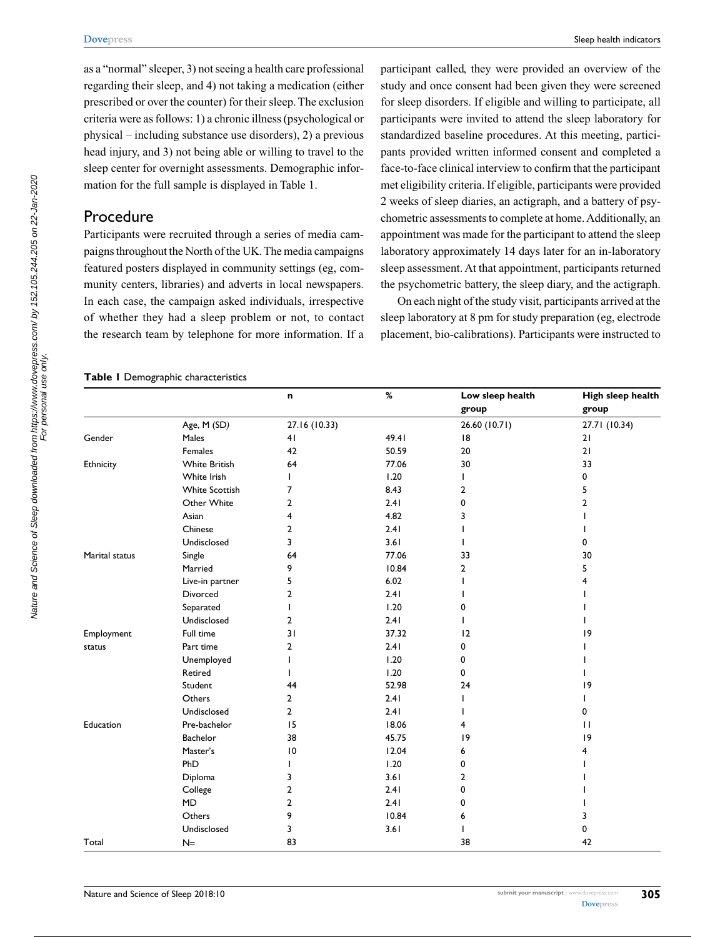as a "normal" sleeper, 3) not seeing a health care professional regarding their sleep, and 4) not taking a medication (either prescribed or over the counter) for their sleep. The exclusion criteria were as follows: 1) a chronic illness (psychological or physical – including substance use disorders), 2) a previous head injury, and 3) not being able or willing to travel to the sleep center for overnight assessments. Demographic information for the full sample is displayed in Table 1.

#### Procedure

Participants were recruited through a series of media campaigns throughout the North of the UK. The media campaigns featured posters displayed in community settings (eg, community centers, libraries) and adverts in local newspapers. In each case, the campaign asked individuals, irrespective of whether they had a sleep problem or not, to contact the research team by telephone for more information. If a

participant called, they were provided an overview of the study and once consent had been given they were screened for sleep disorders. If eligible and willing to participate, all participants were invited to attend the sleep laboratory for standardized baseline procedures. At this meeting, participants provided written informed consent and completed a face-to-face clinical interview to confirm that the participant met eligibility criteria. If eligible, participants were provided 2 weeks of sleep diaries, an actigraph, and a battery of psychometric assessments to complete at home. Additionally, an appointment was made for the participant to attend the sleep laboratory approximately 14 days later for an in-laboratory sleep assessment. At that appointment, participants returned the psychometric battery, the sleep diary, and the actigraph.

On each night of the study visit, participants arrived at the sleep laboratory at 8 pm for study preparation (eg, electrode placement, bio-calibrations). Participants were instructed to

**Table 1** Demographic characteristics

|                |                       | n              | $\%$  | Low sleep health | High sleep health |
|----------------|-----------------------|----------------|-------|------------------|-------------------|
|                |                       |                |       | group            | group             |
|                | Age, M (SD)           | 27.16 (10.33)  |       | 26.60 (10.71)    | 27.71 (10.34)     |
| Gender         | Males                 | 41             | 49.41 | 8                | 21                |
|                | Females               | 42             | 50.59 | 20               | 21                |
| Ethnicity      | <b>White British</b>  | 64             | 77.06 | 30               | 33                |
|                | White Irish           |                | 1.20  |                  | 0                 |
|                | <b>White Scottish</b> | 7              | 8.43  | $\overline{2}$   | 5                 |
|                | Other White           | 2              | 2.41  | 0                | 2                 |
|                | Asian                 | 4              | 4.82  | 3                |                   |
|                | Chinese               | $\overline{2}$ | 2.41  |                  |                   |
|                | Undisclosed           | 3              | 3.61  |                  | 0                 |
| Marital status | Single                | 64             | 77.06 | 33               | 30                |
|                | Married               | 9              | 10.84 | $\overline{2}$   | 5                 |
|                | Live-in partner       | 5              | 6.02  |                  | 4                 |
|                | Divorced              | 2              | 2.41  |                  |                   |
|                | Separated             |                | 1.20  | 0                |                   |
|                | Undisclosed           | $\mathbf{2}$   | 2.41  | п                |                   |
| Employment     | Full time             | 31             | 37.32 | 12               | 9                 |
| status         | Part time             | $\overline{2}$ | 2.41  | 0                |                   |
|                | Unemployed            |                | 1.20  | 0                |                   |
|                | Retired               |                | 1.20  | $\mathbf 0$      |                   |
|                | Student               | 44             | 52.98 | 24               | 9                 |
|                | Others                | $\overline{2}$ | 2.41  |                  |                   |
|                | Undisclosed           | $\overline{2}$ | 2.41  |                  | 0                 |
| Education      | Pre-bachelor          | 15             | 18.06 | 4                | $\mathbf{H}$      |
|                | Bachelor              | 38             | 45.75 | 9                | 9                 |
|                | Master's              | 10             | 12.04 | 6                | 4                 |
|                | PhD                   |                | 1.20  | 0                |                   |
|                | Diploma               | 3              | 3.61  | $\overline{2}$   |                   |
|                | College               | $\overline{2}$ | 2.41  | 0                |                   |
|                | <b>MD</b>             | $\overline{2}$ | 2.41  | 0                |                   |
|                | Others                | 9              | 10.84 | 6                | 3                 |
|                | Undisclosed           | 3              | 3.61  |                  | 0                 |
| Total          | $N =$                 | 83             |       | 38               | 42                |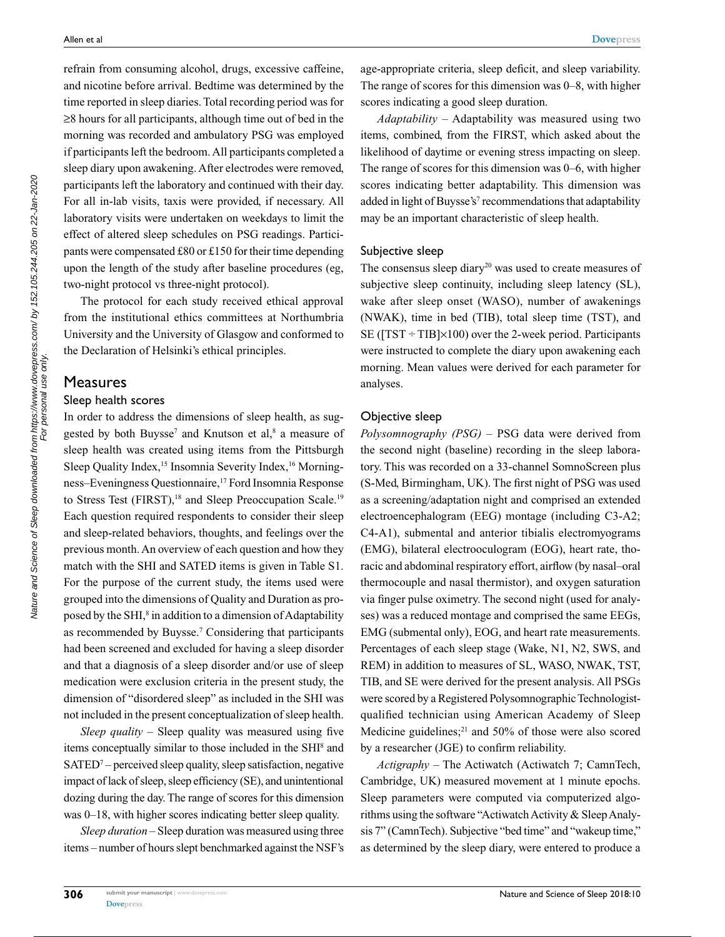refrain from consuming alcohol, drugs, excessive caffeine, and nicotine before arrival. Bedtime was determined by the time reported in sleep diaries. Total recording period was for ≥8 hours for all participants, although time out of bed in the morning was recorded and ambulatory PSG was employed if participants left the bedroom. All participants completed a sleep diary upon awakening. After electrodes were removed, participants left the laboratory and continued with their day. For all in-lab visits, taxis were provided, if necessary. All laboratory visits were undertaken on weekdays to limit the effect of altered sleep schedules on PSG readings. Participants were compensated £80 or £150 for their time depending upon the length of the study after baseline procedures (eg, two-night protocol vs three-night protocol).

The protocol for each study received ethical approval from the institutional ethics committees at Northumbria University and the University of Glasgow and conformed to the Declaration of Helsinki's ethical principles.

#### Measures

#### Sleep health scores

In order to address the dimensions of sleep health, as suggested by both Buysse<sup>7</sup> and Knutson et al,<sup>8</sup> a measure of sleep health was created using items from the Pittsburgh Sleep Quality Index,<sup>15</sup> Insomnia Severity Index,<sup>16</sup> Morningness–Eveningness Questionnaire,17 Ford Insomnia Response to Stress Test (FIRST),<sup>18</sup> and Sleep Preoccupation Scale.<sup>19</sup> Each question required respondents to consider their sleep and sleep-related behaviors, thoughts, and feelings over the previous month. An overview of each question and how they match with the SHI and SATED items is given in Table S1. For the purpose of the current study, the items used were grouped into the dimensions of Quality and Duration as proposed by the SHI,<sup>8</sup> in addition to a dimension of Adaptability as recommended by Buysse.<sup>7</sup> Considering that participants had been screened and excluded for having a sleep disorder and that a diagnosis of a sleep disorder and/or use of sleep medication were exclusion criteria in the present study, the dimension of "disordered sleep" as included in the SHI was not included in the present conceptualization of sleep health.

*Sleep quality* – Sleep quality was measured using five items conceptually similar to those included in the SHI<sup>8</sup> and SATED7 – perceived sleep quality, sleep satisfaction, negative impact of lack of sleep, sleep efficiency (SE), and unintentional dozing during the day. The range of scores for this dimension was 0–18, with higher scores indicating better sleep quality.

*Sleep duration* – Sleep duration was measured using three items – number of hours slept benchmarked against the NSF's age-appropriate criteria, sleep deficit, and sleep variability. The range of scores for this dimension was 0–8, with higher scores indicating a good sleep duration.

*Adaptability* – Adaptability was measured using two items, combined, from the FIRST, which asked about the likelihood of daytime or evening stress impacting on sleep. The range of scores for this dimension was 0–6, with higher scores indicating better adaptability. This dimension was added in light of Buysse's<sup>7</sup> recommendations that adaptability may be an important characteristic of sleep health.

#### Subjective sleep

The consensus sleep diary<sup>20</sup> was used to create measures of subjective sleep continuity, including sleep latency (SL), wake after sleep onset (WASO), number of awakenings (NWAK), time in bed (TIB), total sleep time (TST), and SE ( $[TST \div TIB] \times 100$ ) over the 2-week period. Participants were instructed to complete the diary upon awakening each morning. Mean values were derived for each parameter for analyses.

#### Objective sleep

*Polysomnography (PSG)* – PSG data were derived from the second night (baseline) recording in the sleep laboratory. This was recorded on a 33-channel SomnoScreen plus (S-Med, Birmingham, UK). The first night of PSG was used as a screening/adaptation night and comprised an extended electroencephalogram (EEG) montage (including C3-A2; C4-A1), submental and anterior tibialis electromyograms (EMG), bilateral electrooculogram (EOG), heart rate, thoracic and abdominal respiratory effort, airflow (by nasal–oral thermocouple and nasal thermistor), and oxygen saturation via finger pulse oximetry. The second night (used for analyses) was a reduced montage and comprised the same EEGs, EMG (submental only), EOG, and heart rate measurements. Percentages of each sleep stage (Wake, N1, N2, SWS, and REM) in addition to measures of SL, WASO, NWAK, TST, TIB, and SE were derived for the present analysis. All PSGs were scored by a Registered Polysomnographic Technologistqualified technician using American Academy of Sleep Medicine guidelines;<sup>21</sup> and 50% of those were also scored by a researcher (JGE) to confirm reliability.

*Actigraphy* – The Actiwatch (Actiwatch 7; CamnTech, Cambridge, UK) measured movement at 1 minute epochs. Sleep parameters were computed via computerized algorithms using the software "Actiwatch Activity & Sleep Analysis 7" (CamnTech). Subjective "bed time" and "wakeup time," as determined by the sleep diary, were entered to produce a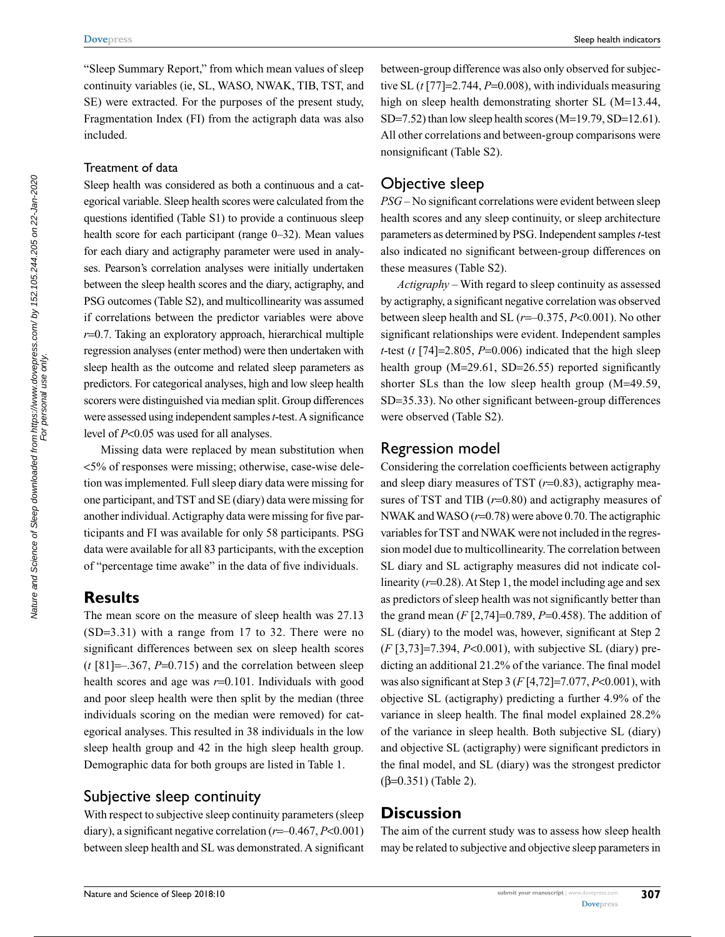"Sleep Summary Report," from which mean values of sleep continuity variables (ie, SL, WASO, NWAK, TIB, TST, and SE) were extracted. For the purposes of the present study, Fragmentation Index (FI) from the actigraph data was also included.

#### Treatment of data

Sleep health was considered as both a continuous and a categorical variable. Sleep health scores were calculated from the questions identified (Table S1) to provide a continuous sleep health score for each participant (range 0–32). Mean values for each diary and actigraphy parameter were used in analyses. Pearson's correlation analyses were initially undertaken between the sleep health scores and the diary, actigraphy, and PSG outcomes (Table S2), and multicollinearity was assumed if correlations between the predictor variables were above *r*=0.7. Taking an exploratory approach, hierarchical multiple regression analyses (enter method) were then undertaken with sleep health as the outcome and related sleep parameters as predictors. For categorical analyses, high and low sleep health scorers were distinguished via median split. Group differences were assessed using independent samples *t*-test. A significance level of *P*<0.05 was used for all analyses.

Missing data were replaced by mean substitution when <5% of responses were missing; otherwise, case-wise deletion was implemented. Full sleep diary data were missing for one participant, and TST and SE (diary) data were missing for another individual. Actigraphy data were missing for five participants and FI was available for only 58 participants. PSG data were available for all 83 participants, with the exception of "percentage time awake" in the data of five individuals.

## **Results**

The mean score on the measure of sleep health was 27.13 (SD=3.31) with a range from 17 to 32. There were no significant differences between sex on sleep health scores  $(t$  [81] =  $-0.367$ , *P*=0.715) and the correlation between sleep health scores and age was *r*=0.101. Individuals with good and poor sleep health were then split by the median (three individuals scoring on the median were removed) for categorical analyses. This resulted in 38 individuals in the low sleep health group and 42 in the high sleep health group. Demographic data for both groups are listed in Table 1.

#### Subjective sleep continuity

With respect to subjective sleep continuity parameters (sleep diary), a significant negative correlation (*r*=–0.467, *P*<0.001) between sleep health and SL was demonstrated. A significant between-group difference was also only observed for subjective SL  $(t$  [77]=2.744,  $P=0.008$ ), with individuals measuring high on sleep health demonstrating shorter SL (M=13.44,  $SD=7.52$ ) than low sleep health scores (M=19.79, SD=12.61). All other correlations and between-group comparisons were nonsignificant (Table S2).

#### Objective sleep

*PSG* – No significant correlations were evident between sleep health scores and any sleep continuity, or sleep architecture parameters as determined by PSG. Independent samples *t*-test also indicated no significant between-group differences on these measures (Table S2).

*Actigraphy* – With regard to sleep continuity as assessed by actigraphy, a significant negative correlation was observed between sleep health and SL (*r*=–0.375, *P*<0*.*001). No other significant relationships were evident. Independent samples *t*-test ( $t$  [74]=2.805,  $P=0.006$ ) indicated that the high sleep health group (M=29.61, SD=26.55) reported significantly shorter SLs than the low sleep health group (M=49.59, SD=35.33). No other significant between-group differences were observed (Table S2).

#### Regression model

Considering the correlation coefficients between actigraphy and sleep diary measures of TST (*r*=0.83), actigraphy measures of TST and TIB (*r*=0.80) and actigraphy measures of NWAK and WASO (*r*=0.78) were above 0.70. The actigraphic variables for TST and NWAK were not included in the regression model due to multicollinearity. The correlation between SL diary and SL actigraphy measures did not indicate collinearity  $(r=0.28)$ . At Step 1, the model including age and sex as predictors of sleep health was not significantly better than the grand mean (*F* [2,74]=0.789, *P*=0.458). The addition of SL (diary) to the model was, however, significant at Step 2 (*F* [3,73]=7.394, *P*<0.001), with subjective SL (diary) predicting an additional 21.2% of the variance. The final model was also significant at Step 3 (*F* [4,72]=7.077, *P*<0.001), with objective SL (actigraphy) predicting a further 4.9% of the variance in sleep health. The final model explained 28.2% of the variance in sleep health. Both subjective SL (diary) and objective SL (actigraphy) were significant predictors in the final model, and SL (diary) was the strongest predictor  $(\beta=0.351)$  (Table 2).

## **Discussion**

The aim of the current study was to assess how sleep health may be related to subjective and objective sleep parameters in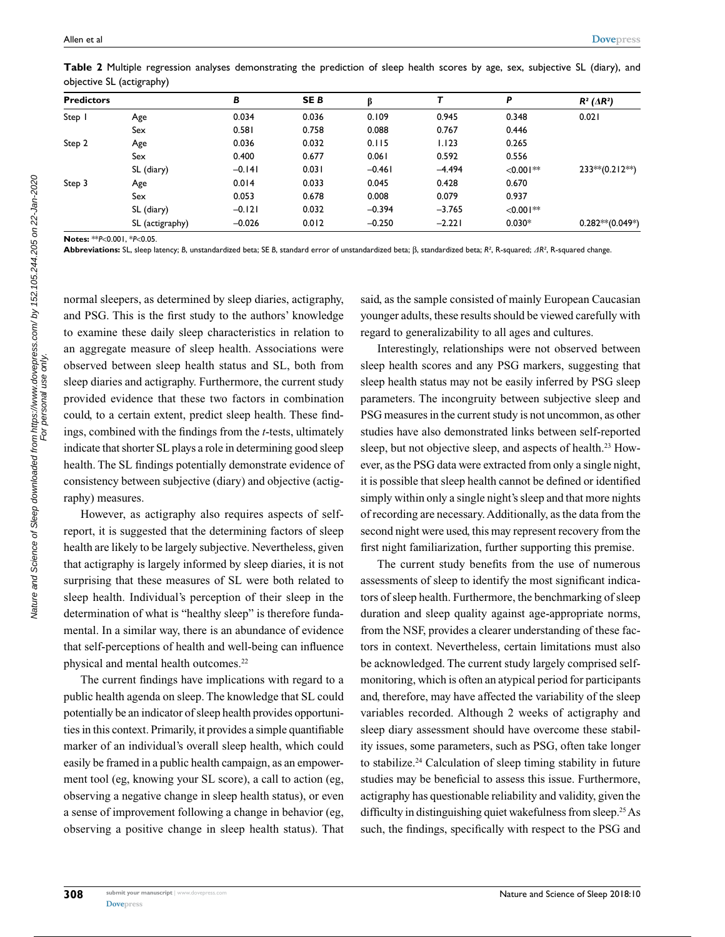| Table 2 Multiple regression analyses demonstrating the prediction of sleep health scores by age, sex, subjective SL (diary), and |  |  |  |  |
|----------------------------------------------------------------------------------------------------------------------------------|--|--|--|--|
| objective SL (actigraphy)                                                                                                        |  |  |  |  |

| <b>Predictors</b> |                 | B        | SE <sub>B</sub> | ß        |          | P           | $R^2$ ( $\Delta R^2$ ) |
|-------------------|-----------------|----------|-----------------|----------|----------|-------------|------------------------|
| Step I            | Age             | 0.034    | 0.036           | 0.109    | 0.945    | 0.348       | 0.021                  |
|                   | Sex             | 0.581    | 0.758           | 0.088    | 0.767    | 0.446       |                        |
| Step 2            | Age             | 0.036    | 0.032           | 0.115    | 1.123    | 0.265       |                        |
|                   | Sex             | 0.400    | 0.677           | 0.061    | 0.592    | 0.556       |                        |
|                   | SL (diary)      | $-0.141$ | 0.031           | $-0.461$ | $-4.494$ | $< 0.001**$ | $233**$ (0.212**)      |
| Step 3            | Age             | 0.014    | 0.033           | 0.045    | 0.428    | 0.670       |                        |
|                   | Sex             | 0.053    | 0.678           | 0.008    | 0.079    | 0.937       |                        |
|                   | SL (diary)      | $-0.121$ | 0.032           | $-0.394$ | $-3.765$ | $< 0.001**$ |                        |
|                   | SL (actigraphy) | $-0.026$ | 0.012           | $-0.250$ | $-2.221$ | $0.030*$    | $0.282**$ (0.049*)     |

**Notes:** \*\**P*<0.001, \**P*<0.05.

**Abbreviations:** SL, sleep latency; *B*, unstandardized beta; SE *B*, standard error of unstandardized beta; b, standardized beta; *R²*, R-squared; *DR²*, R-squared change.

normal sleepers, as determined by sleep diaries, actigraphy, and PSG. This is the first study to the authors' knowledge to examine these daily sleep characteristics in relation to an aggregate measure of sleep health. Associations were observed between sleep health status and SL, both from sleep diaries and actigraphy. Furthermore, the current study provided evidence that these two factors in combination could, to a certain extent, predict sleep health. These findings, combined with the findings from the *t*-tests, ultimately indicate that shorter SL plays a role in determining good sleep health. The SL findings potentially demonstrate evidence of consistency between subjective (diary) and objective (actigraphy) measures.

However, as actigraphy also requires aspects of selfreport, it is suggested that the determining factors of sleep health are likely to be largely subjective. Nevertheless, given that actigraphy is largely informed by sleep diaries, it is not surprising that these measures of SL were both related to sleep health. Individual's perception of their sleep in the determination of what is "healthy sleep" is therefore fundamental. In a similar way, there is an abundance of evidence that self-perceptions of health and well-being can influence physical and mental health outcomes.<sup>22</sup>

The current findings have implications with regard to a public health agenda on sleep. The knowledge that SL could potentially be an indicator of sleep health provides opportunities in this context. Primarily, it provides a simple quantifiable marker of an individual's overall sleep health, which could easily be framed in a public health campaign, as an empowerment tool (eg, knowing your SL score), a call to action (eg, observing a negative change in sleep health status), or even a sense of improvement following a change in behavior (eg, observing a positive change in sleep health status). That said, as the sample consisted of mainly European Caucasian younger adults, these results should be viewed carefully with regard to generalizability to all ages and cultures.

Interestingly, relationships were not observed between sleep health scores and any PSG markers, suggesting that sleep health status may not be easily inferred by PSG sleep parameters. The incongruity between subjective sleep and PSG measures in the current study is not uncommon, as other studies have also demonstrated links between self-reported sleep, but not objective sleep, and aspects of health.<sup>23</sup> However, as the PSG data were extracted from only a single night, it is possible that sleep health cannot be defined or identified simply within only a single night's sleep and that more nights of recording are necessary. Additionally, as the data from the second night were used, this may represent recovery from the first night familiarization, further supporting this premise.

The current study benefits from the use of numerous assessments of sleep to identify the most significant indicators of sleep health. Furthermore, the benchmarking of sleep duration and sleep quality against age-appropriate norms, from the NSF, provides a clearer understanding of these factors in context. Nevertheless, certain limitations must also be acknowledged. The current study largely comprised selfmonitoring, which is often an atypical period for participants and, therefore, may have affected the variability of the sleep variables recorded. Although 2 weeks of actigraphy and sleep diary assessment should have overcome these stability issues, some parameters, such as PSG, often take longer to stabilize.24 Calculation of sleep timing stability in future studies may be beneficial to assess this issue. Furthermore, actigraphy has questionable reliability and validity, given the difficulty in distinguishing quiet wakefulness from sleep.<sup>25</sup> As such, the findings, specifically with respect to the PSG and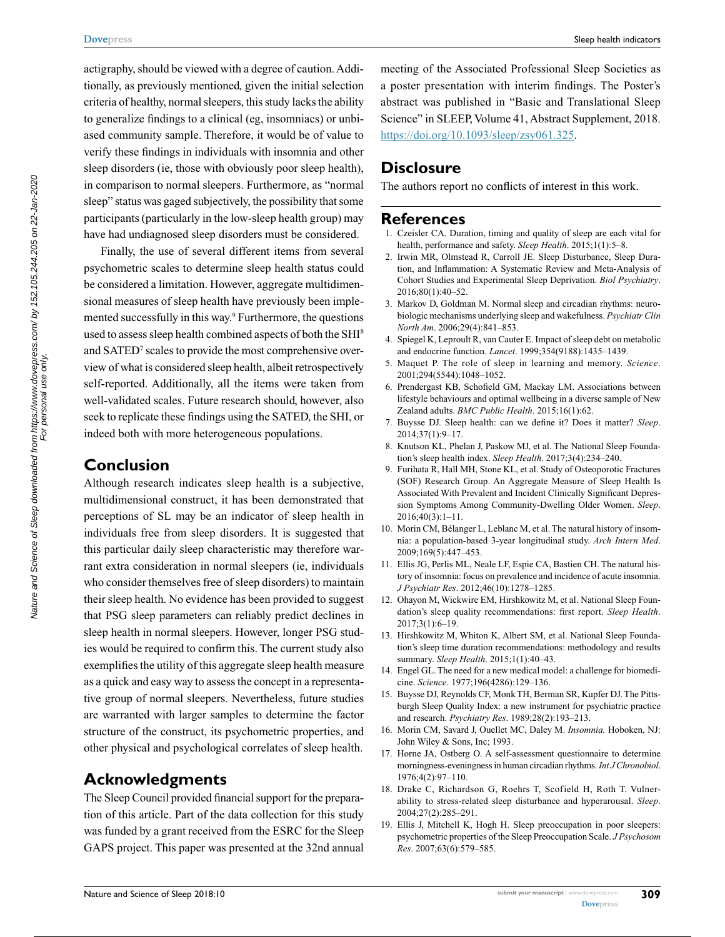actigraphy, should be viewed with a degree of caution. Additionally, as previously mentioned, given the initial selection criteria of healthy, normal sleepers, this study lacks the ability to generalize findings to a clinical (eg, insomniacs) or unbiased community sample. Therefore, it would be of value to verify these findings in individuals with insomnia and other sleep disorders (ie, those with obviously poor sleep health), in comparison to normal sleepers. Furthermore, as "normal sleep" status was gaged subjectively, the possibility that some participants (particularly in the low-sleep health group) may have had undiagnosed sleep disorders must be considered.

Finally, the use of several different items from several psychometric scales to determine sleep health status could be considered a limitation. However, aggregate multidimensional measures of sleep health have previously been implemented successfully in this way.<sup>9</sup> Furthermore, the questions used to assess sleep health combined aspects of both the SHI8 and SATED<sup>7</sup> scales to provide the most comprehensive overview of what is considered sleep health, albeit retrospectively self-reported. Additionally, all the items were taken from well-validated scales. Future research should, however, also seek to replicate these findings using the SATED, the SHI, or indeed both with more heterogeneous populations.

## **Conclusion**

Although research indicates sleep health is a subjective, multidimensional construct, it has been demonstrated that perceptions of SL may be an indicator of sleep health in individuals free from sleep disorders. It is suggested that this particular daily sleep characteristic may therefore warrant extra consideration in normal sleepers (ie, individuals who consider themselves free of sleep disorders) to maintain their sleep health. No evidence has been provided to suggest that PSG sleep parameters can reliably predict declines in sleep health in normal sleepers. However, longer PSG studies would be required to confirm this. The current study also exemplifies the utility of this aggregate sleep health measure as a quick and easy way to assess the concept in a representative group of normal sleepers. Nevertheless, future studies are warranted with larger samples to determine the factor structure of the construct, its psychometric properties, and other physical and psychological correlates of sleep health.

## **Acknowledgments**

The Sleep Council provided financial support for the preparation of this article. Part of the data collection for this study was funded by a grant received from the ESRC for the Sleep GAPS project. This paper was presented at the 32nd annual

meeting of the Associated Professional Sleep Societies as a poster presentation with interim findings. The Poster's abstract was published in "Basic and Translational Sleep Science" in SLEEP, Volume 41, Abstract Supplement, 2018. <https://doi.org/10.1093/sleep/zsy061.325>.

## **Disclosure**

The authors report no conflicts of interest in this work.

### **References**

- 1. Czeisler CA. Duration, timing and quality of sleep are each vital for health, performance and safety. *Sleep Health*. 2015;1(1):5–8.
- 2. Irwin MR, Olmstead R, Carroll JE. Sleep Disturbance, Sleep Duration, and Inflammation: A Systematic Review and Meta-Analysis of Cohort Studies and Experimental Sleep Deprivation. *Biol Psychiatry*. 2016;80(1):40–52.
- 3. Markov D, Goldman M. Normal sleep and circadian rhythms: neurobiologic mechanisms underlying sleep and wakefulness. *Psychiatr Clin North Am*. 2006;29(4):841–853.
- 4. Spiegel K, Leproult R, van Cauter E. Impact of sleep debt on metabolic and endocrine function. *Lancet*. 1999;354(9188):1435–1439.
- 5. Maquet P. The role of sleep in learning and memory. *Science*. 2001;294(5544):1048–1052.
- 6. Prendergast KB, Schofield GM, Mackay LM. Associations between lifestyle behaviours and optimal wellbeing in a diverse sample of New Zealand adults. *BMC Public Health*. 2015;16(1):62.
- 7. Buysse DJ. Sleep health: can we define it? Does it matter? *Sleep*. 2014;37(1):9–17.
- 8. Knutson KL, Phelan J, Paskow MJ, et al. The National Sleep Foundation's sleep health index. *Sleep Health*. 2017;3(4):234–240.
- 9. Furihata R, Hall MH, Stone KL, et al. Study of Osteoporotic Fractures (SOF) Research Group. An Aggregate Measure of Sleep Health Is Associated With Prevalent and Incident Clinically Significant Depression Symptoms Among Community-Dwelling Older Women. *Sleep*. 2016;40(3):1–11.
- 10. Morin CM, Bélanger L, Leblanc M, et al. The natural history of insomnia: a population-based 3-year longitudinal study. *Arch Intern Med*. 2009;169(5):447–453.
- 11. Ellis JG, Perlis ML, Neale LF, Espie CA, Bastien CH. The natural history of insomnia: focus on prevalence and incidence of acute insomnia. *J Psychiatr Res*. 2012;46(10):1278–1285.
- 12. Ohayon M, Wickwire EM, Hirshkowitz M, et al. National Sleep Foundation's sleep quality recommendations: first report. *Sleep Health*. 2017;3(1):6–19.
- 13. Hirshkowitz M, Whiton K, Albert SM, et al. National Sleep Foundation's sleep time duration recommendations: methodology and results summary. *Sleep Health*. 2015;1(1):40–43.
- 14. Engel GL. The need for a new medical model: a challenge for biomedicine. *Science*. 1977;196(4286):129–136.
- 15. Buysse DJ, Reynolds CF, Monk TH, Berman SR, Kupfer DJ. The Pittsburgh Sleep Quality Index: a new instrument for psychiatric practice and research. *Psychiatry Res*. 1989;28(2):193–213.
- 16. Morin CM, Savard J, Ouellet MC, Daley M. *Insomnia.* Hoboken, NJ: John Wiley & Sons, Inc; 1993.
- 17. Horne JA, Ostberg O. A self-assessment questionnaire to determine morningness-eveningness in human circadian rhythms. *Int J Chronobiol*. 1976;4(2):97–110.
- 18. Drake C, Richardson G, Roehrs T, Scofield H, Roth T. Vulnerability to stress-related sleep disturbance and hyperarousal. *Sleep*. 2004;27(2):285–291.
- 19. Ellis J, Mitchell K, Hogh H. Sleep preoccupation in poor sleepers: psychometric properties of the Sleep Preoccupation Scale. *J Psychosom Res*. 2007;63(6):579–585.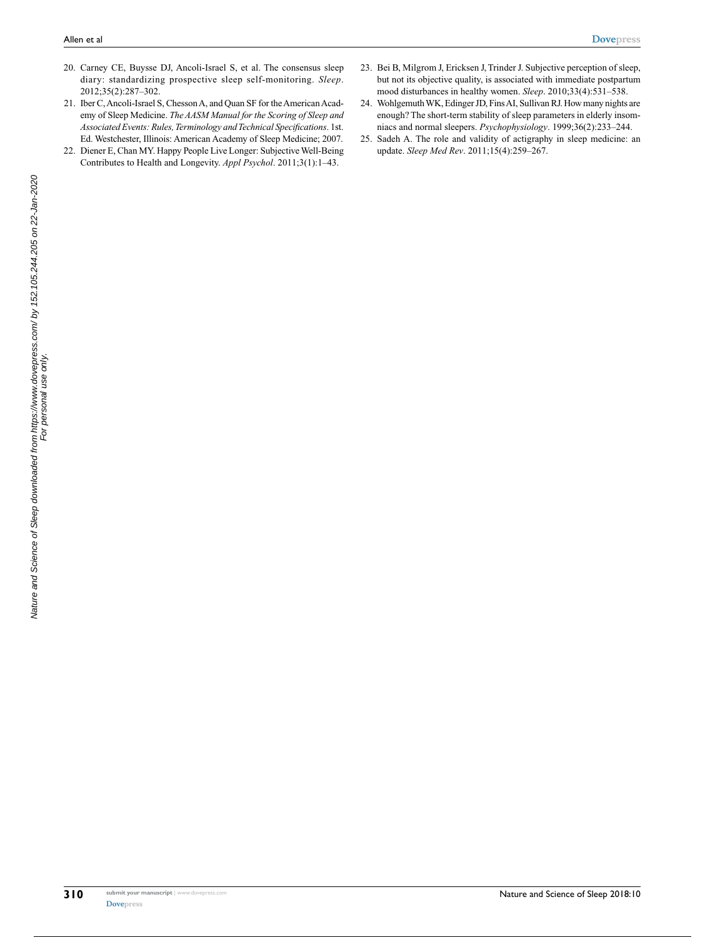- 20. Carney CE, Buysse DJ, Ancoli-Israel S, et al. The consensus sleep diary: standardizing prospective sleep self-monitoring. *Sleep*. 2012;35(2):287–302.
- 21. Iber C, Ancoli-Israel S, Chesson A, and Quan SF for the American Academy of Sleep Medicine. *The AASM Manual for the Scoring of Sleep and Associated Events: Rules, Terminology and Technical Specifications*. 1st. Ed. Westchester, Illinois: American Academy of Sleep Medicine; 2007.
- 22. Diener E, Chan MY. Happy People Live Longer: Subjective Well-Being Contributes to Health and Longevity. *Appl Psychol*. 2011;3(1):1–43.
- 23. Bei B, Milgrom J, Ericksen J, Trinder J. Subjective perception of sleep, but not its objective quality, is associated with immediate postpartum mood disturbances in healthy women. *Sleep*. 2010;33(4):531–538.
- 24. Wohlgemuth WK, Edinger JD, Fins AI, Sullivan RJ. How many nights are enough? The short-term stability of sleep parameters in elderly insomniacs and normal sleepers. *Psychophysiology*. 1999;36(2):233–244.
- 25. Sadeh A. The role and validity of actigraphy in sleep medicine: an update. *Sleep Med Rev*. 2011;15(4):259–267.

**[Dovepress](www.dovepress.com)**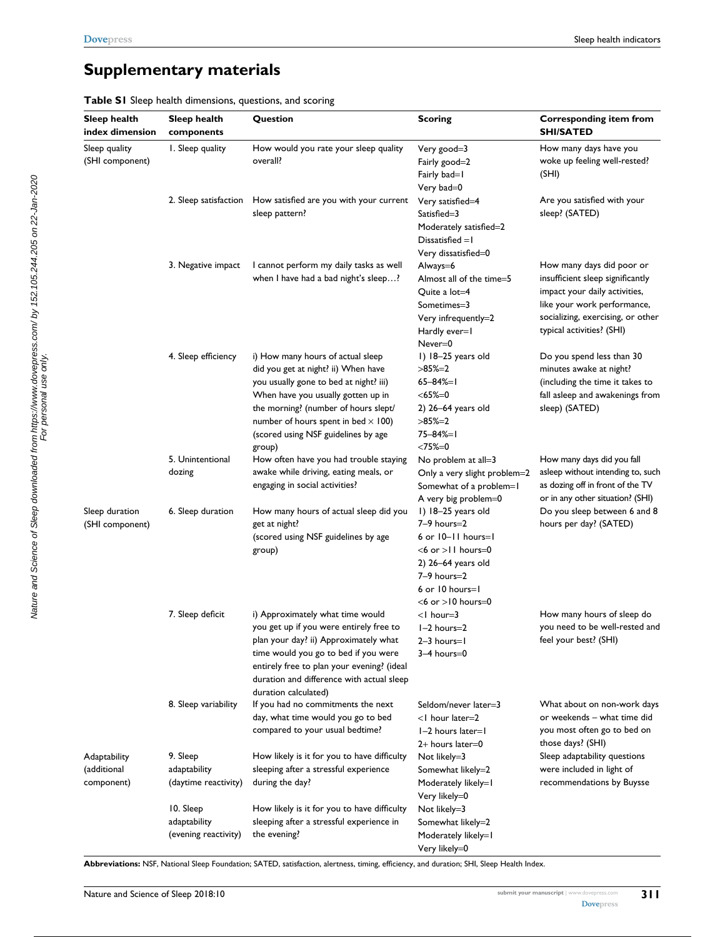## **Supplementary materials**

|  |  |  | Table SI Sleep health dimensions, questions, and scoring |  |  |  |
|--|--|--|----------------------------------------------------------|--|--|--|
|--|--|--|----------------------------------------------------------|--|--|--|

| Sleep health                              | Sleep health                                      | Question                                                                                                                                                                                                                                                                              | <b>Scoring</b>                                                                                                                                                        | <b>Corresponding item from</b>                                                                                                                                            |
|-------------------------------------------|---------------------------------------------------|---------------------------------------------------------------------------------------------------------------------------------------------------------------------------------------------------------------------------------------------------------------------------------------|-----------------------------------------------------------------------------------------------------------------------------------------------------------------------|---------------------------------------------------------------------------------------------------------------------------------------------------------------------------|
| index dimension                           | components                                        |                                                                                                                                                                                                                                                                                       |                                                                                                                                                                       | <b>SHI/SATED</b>                                                                                                                                                          |
| Sleep quality<br>(SHI component)          | 1. Sleep quality                                  | How would you rate your sleep quality<br>overall?                                                                                                                                                                                                                                     | Very good=3<br>Fairly good=2<br>Fairly bad=1<br>Very bad=0                                                                                                            | How many days have you<br>woke up feeling well-rested?<br>(SHI)                                                                                                           |
|                                           |                                                   | 2. Sleep satisfaction How satisfied are you with your current<br>sleep pattern?                                                                                                                                                                                                       | Very satisfied=4<br>Satisfied=3<br>Moderately satisfied=2<br>$Dissatisfied = I$                                                                                       | Are you satisfied with your<br>sleep? (SATED)                                                                                                                             |
|                                           | 3. Negative impact                                | I cannot perform my daily tasks as well<br>when I have had a bad night's sleep?                                                                                                                                                                                                       | Very dissatisfied=0<br>Always=6<br>Almost all of the time=5<br>Quite a lot=4<br>Sometimes=3<br>Very infrequently=2                                                    | How many days did poor or<br>insufficient sleep significantly<br>impact your daily activities,<br>like your work performance,<br>socializing, exercising, or other        |
|                                           | 4. Sleep efficiency                               | i) How many hours of actual sleep<br>did you get at night? ii) When have<br>you usually gone to bed at night? iii)<br>When have you usually gotten up in<br>the morning? (number of hours slept/<br>number of hours spent in bed $\times$ 100)<br>(scored using NSF guidelines by age | Hardly ever=1<br>Never=0<br>I) 18-25 years old<br>$>85\% = 2$<br>$65 - 84\% = 1$<br>$<$ 65%=0<br>2) 26-64 years old<br>$>85\% = 2$<br>75–84%=1                        | typical activities? (SHI)<br>Do you spend less than 30<br>minutes awake at night?<br>(including the time it takes to<br>fall asleep and awakenings from<br>sleep) (SATED) |
|                                           | 5. Unintentional<br>dozing                        | group)<br>How often have you had trouble staying<br>awake while driving, eating meals, or<br>engaging in social activities?                                                                                                                                                           | $<75% = 0$<br>No problem at all=3<br>Only a very slight problem=2<br>Somewhat of a problem=1<br>A very big problem=0                                                  | How many days did you fall<br>asleep without intending to, such<br>as dozing off in front of the TV<br>or in any other situation? (SHI)                                   |
| Sleep duration<br>(SHI component)         | 6. Sleep duration                                 | How many hours of actual sleep did you<br>get at night?<br>(scored using NSF guidelines by age<br>group)                                                                                                                                                                              | I) 18-25 years old<br>7-9 hours=2<br>6 or 10-11 hours=1<br>$<$ 6 or $>$ II hours=0<br>2) 26-64 years old<br>7-9 hours=2<br>6 or 10 hours=1<br>$<$ 6 or $>$ 10 hours=0 | Do you sleep between 6 and 8<br>hours per day? (SATED)                                                                                                                    |
|                                           | 7. Sleep deficit                                  | i) Approximately what time would<br>you get up if you were entirely free to<br>plan your day? ii) Approximately what<br>time would you go to bed if you were<br>entirely free to plan your evening? (ideal<br>duration and difference with actual sleep<br>duration calculated)       | $<$ I hour=3<br>$I-2$ hours=2<br>2-3 hours=1<br>$3-4$ hours=0                                                                                                         | How many hours of sleep do<br>you need to be well-rested and<br>feel your best? (SHI)                                                                                     |
|                                           | 8. Sleep variability                              | If you had no commitments the next<br>day, what time would you go to bed<br>compared to your usual bedtime?                                                                                                                                                                           | Seldom/never later=3<br><1 hour later=2<br>$I - 2$ hours later= $I$<br>2+ hours later=0                                                                               | What about on non-work days<br>or weekends - what time did<br>you most often go to bed on<br>those days? (SHI)                                                            |
| Adaptability<br>(additional<br>component) | 9. Sleep<br>adaptability<br>(daytime reactivity)  | How likely is it for you to have difficulty<br>sleeping after a stressful experience<br>during the day?                                                                                                                                                                               | Not likely=3<br>Somewhat likely=2<br>Moderately likely=1<br>Very likely=0                                                                                             | Sleep adaptability questions<br>were included in light of<br>recommendations by Buysse                                                                                    |
|                                           | 10. Sleep<br>adaptability<br>(evening reactivity) | How likely is it for you to have difficulty<br>sleeping after a stressful experience in<br>the evening?                                                                                                                                                                               | Not likely=3<br>Somewhat likely=2<br>Moderately likely=1<br>Very likely=0                                                                                             |                                                                                                                                                                           |

**Abbreviations:** NSF, National Sleep Foundation; SATED, satisfaction, alertness, timing, efficiency, and duration; SHI, Sleep Health Index.